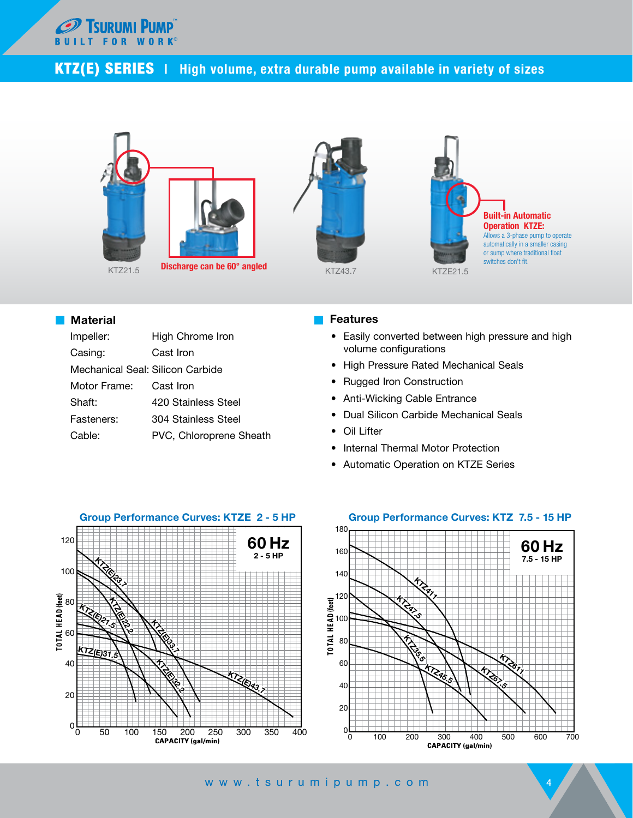

## KTZ(E) SERIES | High volume, extra durable pump available in variety of sizes



## **Material**

| Impeller:                        | High Chrome Iron        |
|----------------------------------|-------------------------|
| Casing:                          | Cast Iron               |
| Mechanical Seal: Silicon Carbide |                         |
| Motor Frame:                     | Cast Iron               |
| Shaft:                           | 420 Stainless Steel     |
| Fasteners:                       | 304 Stainless Steel     |
| Cable:                           | PVC, Chloroprene Sheath |

## Features

- Easily converted between high pressure and high volume configurations
- High Pressure Rated Mechanical Seals
- Rugged Iron Construction
- Anti-Wicking Cable Entrance
- Dual Silicon Carbide Mechanical Seals
- Oil Lifter
- Internal Thermal Motor Protection
- Automatic Operation on KTZE Series





4